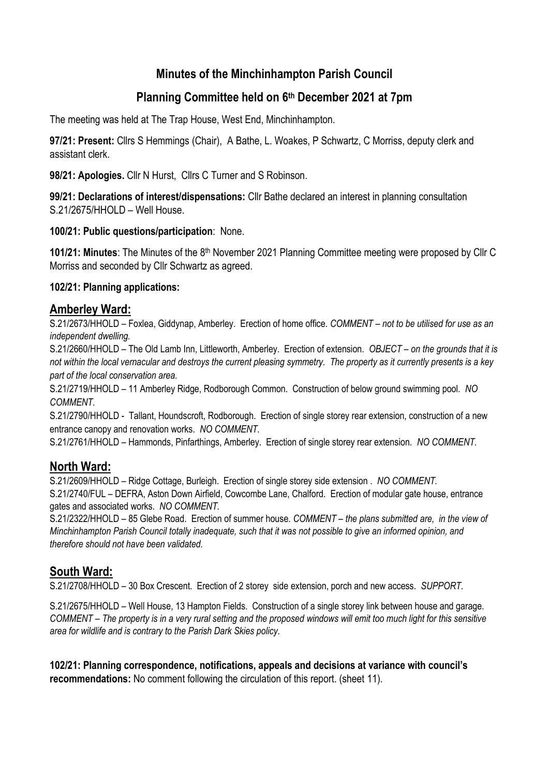# **Minutes of the Minchinhampton Parish Council**

# **Planning Committee held on 6 th December 2021 at 7pm**

The meeting was held at The Trap House, West End, Minchinhampton.

**97/21: Present:** Cllrs S Hemmings (Chair), A Bathe, L. Woakes, P Schwartz, C Morriss, deputy clerk and assistant clerk.

**98/21: Apologies.** Cllr N Hurst, Cllrs C Turner and S Robinson.

**99/21: Declarations of interest/dispensations:** Cllr Bathe declared an interest in planning consultation S.21/2675/HHOLD – Well House.

**100/21: Public questions/participation**: None.

101/21: Minutes: The Minutes of the 8<sup>th</sup> November 2021 Planning Committee meeting were proposed by Cllr C Morriss and seconded by Cllr Schwartz as agreed.

#### **102/21: Planning applications:**

### **Amberley Ward:**

S.21/2673/HHOLD – Foxlea, Giddynap, Amberley. Erection of home office. *COMMENT – not to be utilised for use as an independent dwelling.* 

S.21/2660/HHOLD – The Old Lamb Inn, Littleworth, Amberley. Erection of extension. *OBJECT – on the grounds that it is not within the local vernacular and destroys the current pleasing symmetry. The property as it currently presents is a key part of the local conservation area.* 

S.21/2719/HHOLD – 11 Amberley Ridge, Rodborough Common. Construction of below ground swimming pool. *NO COMMENT.* 

S.21/2790/HHOLD - Tallant, Houndscroft, Rodborough. Erection of single storey rear extension, construction of a new entrance canopy and renovation works. *NO COMMENT.* 

S.21/2761/HHOLD – Hammonds, Pinfarthings, Amberley. Erection of single storey rear extension. *NO COMMENT.* 

## **North Ward:**

S.21/2609/HHOLD – Ridge Cottage, Burleigh. Erection of single storey side extension . *NO COMMENT.* S.21/2740/FUL – DEFRA, Aston Down Airfield, Cowcombe Lane, Chalford. Erection of modular gate house, entrance gates and associated works. *NO COMMENT.*

S.21/2322/HHOLD – 85 Glebe Road. Erection of summer house. *COMMENT – the plans submitted are, in the view of Minchinhampton Parish Council totally inadequate, such that it was not possible to give an informed opinion, and therefore should not have been validated.* 

## **South Ward:**

S.21/2708/HHOLD – 30 Box Crescent. Erection of 2 storey side extension, porch and new access. *SUPPORT.*

S.21/2675/HHOLD – Well House, 13 Hampton Fields. Construction of a single storey link between house and garage. *COMMENT – The property is in a very rural setting and the proposed windows will emit too much light for this sensitive area for wildlife and is contrary to the Parish Dark Skies policy.* 

**102/21: Planning correspondence, notifications, appeals and decisions at variance with council's recommendations:** No comment following the circulation of this report. (sheet 11).